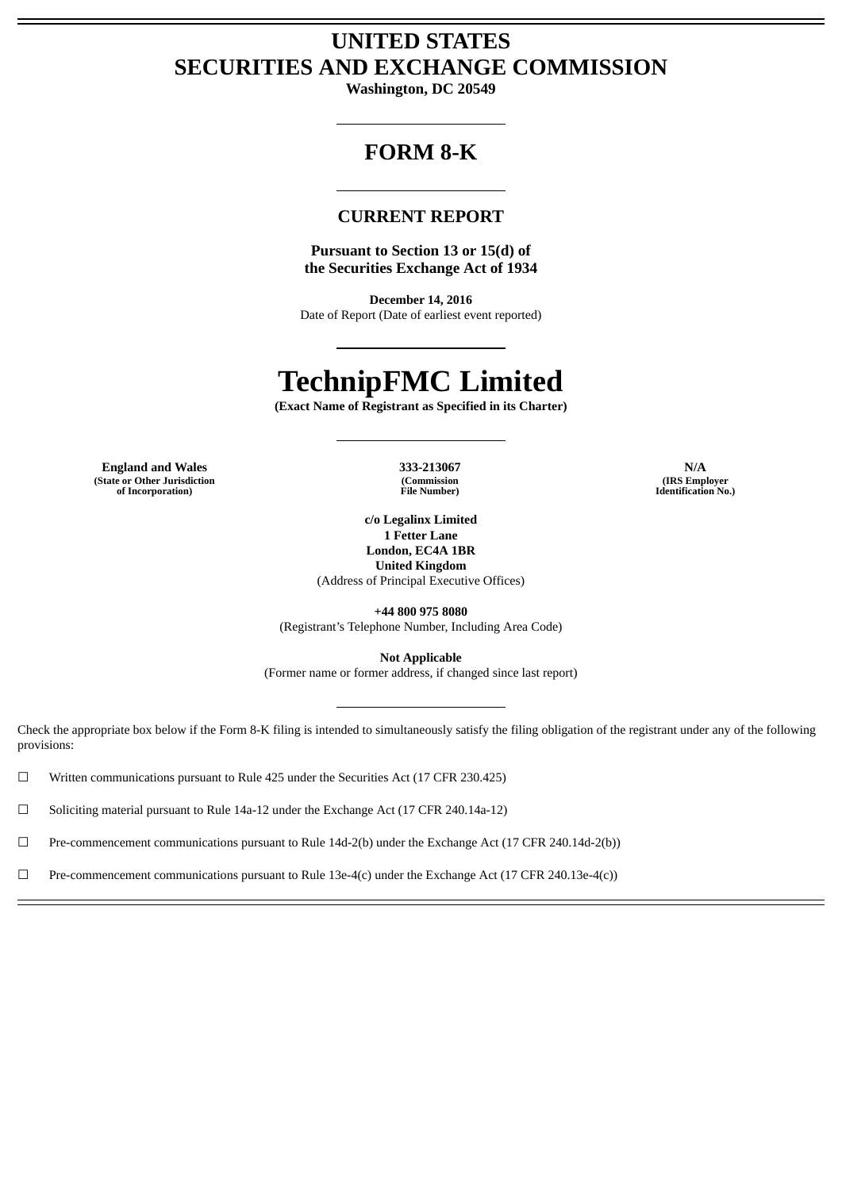# **UNITED STATES SECURITIES AND EXCHANGE COMMISSION**

**Washington, DC 20549**

# **FORM 8-K**

# **CURRENT REPORT**

**Pursuant to Section 13 or 15(d) of the Securities Exchange Act of 1934**

**December 14, 2016** Date of Report (Date of earliest event reported)

# **TechnipFMC Limited**

**(Exact Name of Registrant as Specified in its Charter)**

**England and Wales 333-213067 N/A (State or Other Jurisdiction of Incorporation)**

**(Commission File Number)**

**c/o Legalinx Limited 1 Fetter Lane London, EC4A 1BR United Kingdom**

(Address of Principal Executive Offices)

**+44 800 975 8080**

(Registrant's Telephone Number, Including Area Code)

**Not Applicable** (Former name or former address, if changed since last report)

Check the appropriate box below if the Form 8-K filing is intended to simultaneously satisfy the filing obligation of the registrant under any of the following provisions:

☐ Written communications pursuant to Rule 425 under the Securities Act (17 CFR 230.425)

☐ Soliciting material pursuant to Rule 14a-12 under the Exchange Act (17 CFR 240.14a-12)

☐ Pre-commencement communications pursuant to Rule 14d-2(b) under the Exchange Act (17 CFR 240.14d-2(b))

 $□$  Pre-commencement communications pursuant to Rule 13e-4(c) under the Exchange Act (17 CFR 240.13e-4(c))

**(IRS Employer Identification No.)**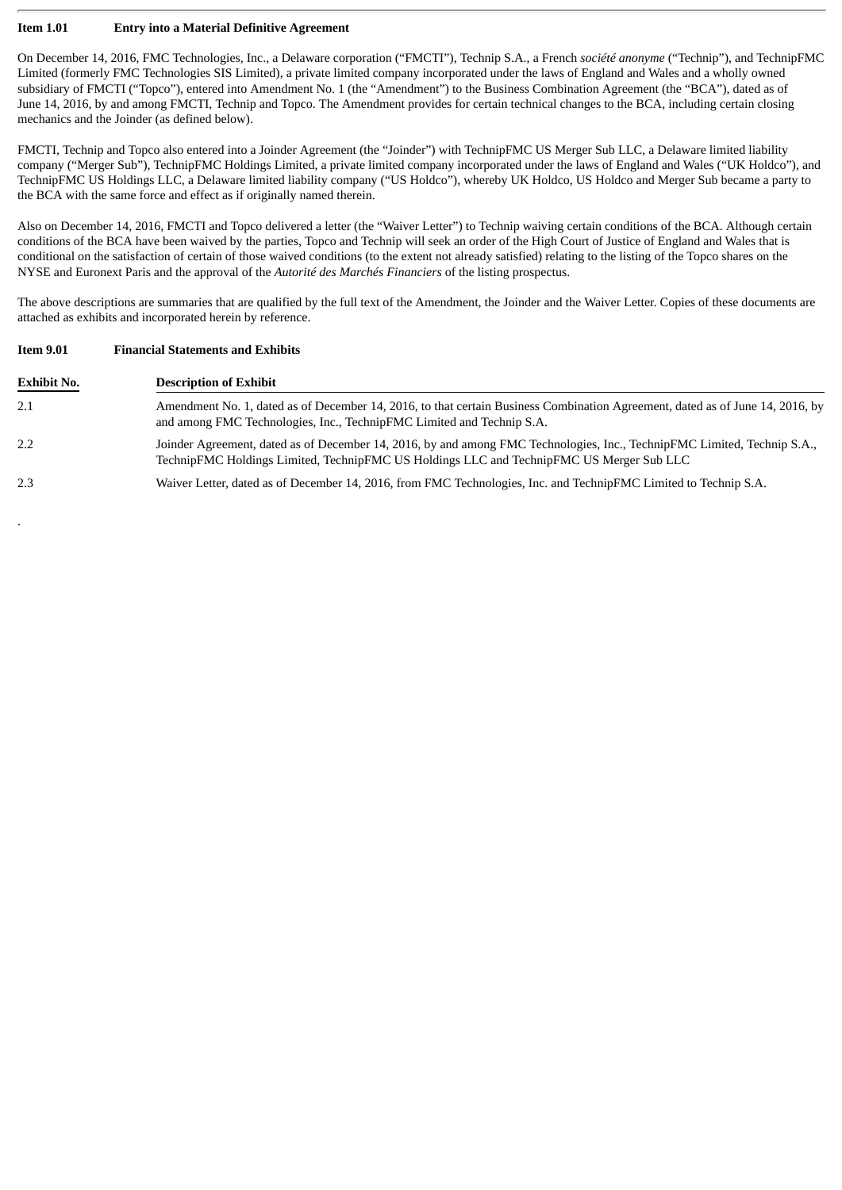### **Item 1.01 Entry into a Material Definitive Agreement**

.

On December 14, 2016, FMC Technologies, Inc., a Delaware corporation ("FMCTI"), Technip S.A., a French *société anonyme* ("Technip"), and TechnipFMC Limited (formerly FMC Technologies SIS Limited), a private limited company incorporated under the laws of England and Wales and a wholly owned subsidiary of FMCTI ("Topco"), entered into Amendment No. 1 (the "Amendment") to the Business Combination Agreement (the "BCA"), dated as of June 14, 2016, by and among FMCTI, Technip and Topco. The Amendment provides for certain technical changes to the BCA, including certain closing mechanics and the Joinder (as defined below).

FMCTI, Technip and Topco also entered into a Joinder Agreement (the "Joinder") with TechnipFMC US Merger Sub LLC, a Delaware limited liability company ("Merger Sub"), TechnipFMC Holdings Limited, a private limited company incorporated under the laws of England and Wales ("UK Holdco"), and TechnipFMC US Holdings LLC, a Delaware limited liability company ("US Holdco"), whereby UK Holdco, US Holdco and Merger Sub became a party to the BCA with the same force and effect as if originally named therein.

Also on December 14, 2016, FMCTI and Topco delivered a letter (the "Waiver Letter") to Technip waiving certain conditions of the BCA. Although certain conditions of the BCA have been waived by the parties, Topco and Technip will seek an order of the High Court of Justice of England and Wales that is conditional on the satisfaction of certain of those waived conditions (to the extent not already satisfied) relating to the listing of the Topco shares on the NYSE and Euronext Paris and the approval of the *Autorité des Marchés Financiers* of the listing prospectus.

The above descriptions are summaries that are qualified by the full text of the Amendment, the Joinder and the Waiver Letter. Copies of these documents are attached as exhibits and incorporated herein by reference.

| <b>Item 9.01</b>   | <b>Financial Statements and Exhibits</b><br><b>Description of Exhibit</b>                                                                                                                                            |  |  |
|--------------------|----------------------------------------------------------------------------------------------------------------------------------------------------------------------------------------------------------------------|--|--|
| <b>Exhibit No.</b> |                                                                                                                                                                                                                      |  |  |
| 2.1                | Amendment No. 1, dated as of December 14, 2016, to that certain Business Combination Agreement, dated as of June 14, 2016, by<br>and among FMC Technologies, Inc., TechnipFMC Limited and Technip S.A.               |  |  |
| 2.2                | Joinder Agreement, dated as of December 14, 2016, by and among FMC Technologies, Inc., TechnipFMC Limited, Technip S.A.,<br>TechnipFMC Holdings Limited, TechnipFMC US Holdings LLC and TechnipFMC US Merger Sub LLC |  |  |
| 2.3                | Waiver Letter, dated as of December 14, 2016, from FMC Technologies, Inc. and TechnipFMC Limited to Technip S.A.                                                                                                     |  |  |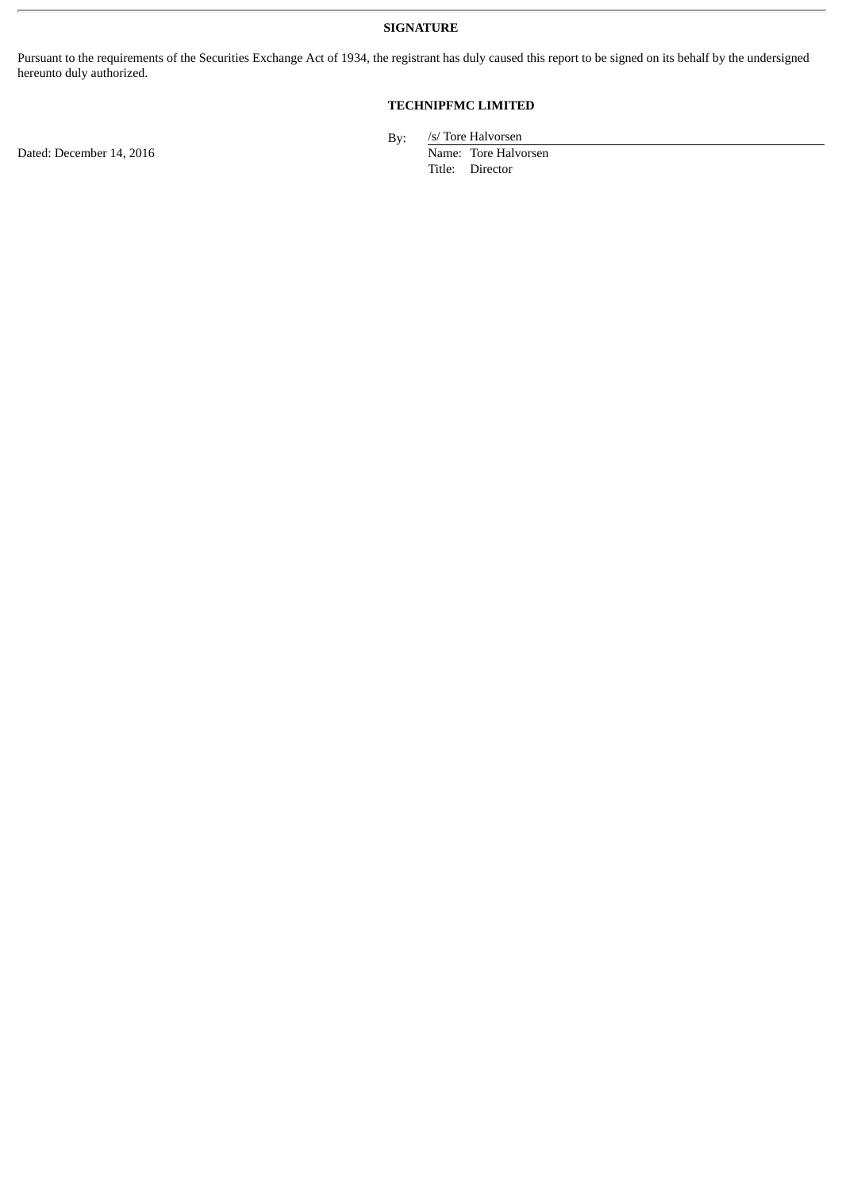**SIGNATURE**

Pursuant to the requirements of the Securities Exchange Act of 1934, the registrant has duly caused this report to be signed on its behalf by the undersigned hereunto duly authorized.

# **TECHNIPFMC LIMITED**

Dated: December 14, 2016 Name: Tore Halvorsen

By: /s/ Tore Halvorsen

Title: Director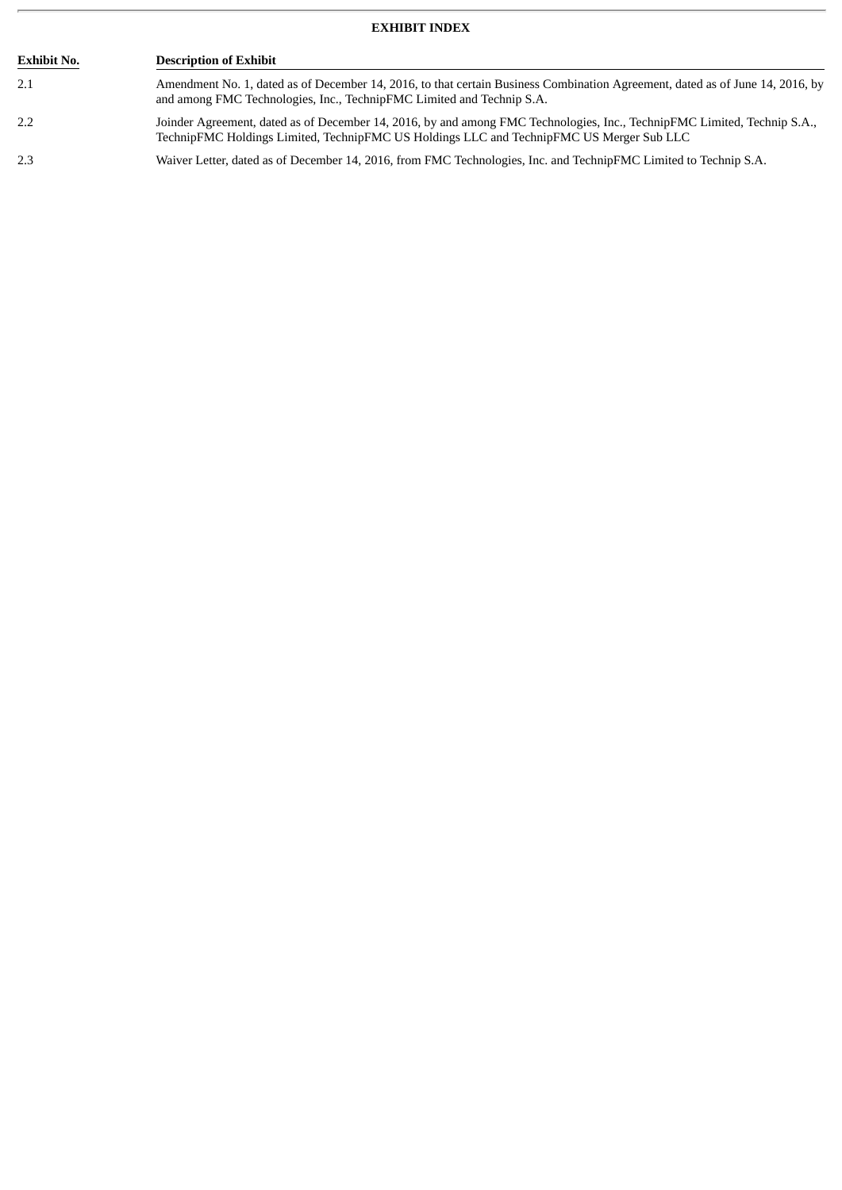# **EXHIBIT INDEX**

| <b>Exhibit No.</b> | <b>Description of Exhibit</b>                                                                                                                                                                                        |  |  |
|--------------------|----------------------------------------------------------------------------------------------------------------------------------------------------------------------------------------------------------------------|--|--|
| 2.1                | Amendment No. 1, dated as of December 14, 2016, to that certain Business Combination Agreement, dated as of June 14, 2016, by<br>and among FMC Technologies, Inc., TechnipFMC Limited and Technip S.A.               |  |  |
| 2.2                | Joinder Agreement, dated as of December 14, 2016, by and among FMC Technologies, Inc., TechnipFMC Limited, Technip S.A.,<br>TechnipFMC Holdings Limited, TechnipFMC US Holdings LLC and TechnipFMC US Merger Sub LLC |  |  |
| 2.3                | Waiver Letter, dated as of December 14, 2016, from FMC Technologies, Inc. and TechnipFMC Limited to Technip S.A.                                                                                                     |  |  |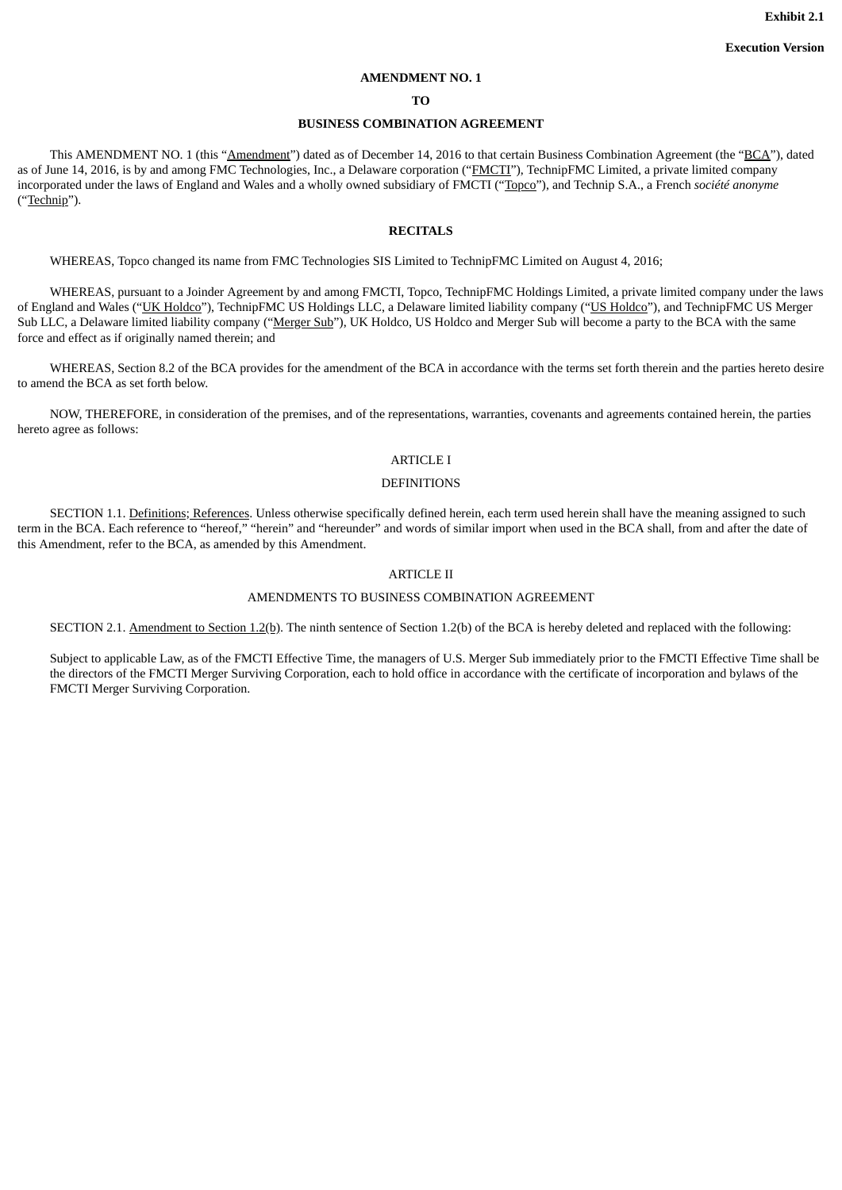#### **AMENDMENT NO. 1**

### **TO**

### **BUSINESS COMBINATION AGREEMENT**

This AMENDMENT NO. 1 (this "Amendment") dated as of December 14, 2016 to that certain Business Combination Agreement (the "BCA"), dated as of June 14, 2016, is by and among FMC Technologies, Inc., a Delaware corporation ("FMCTI"), TechnipFMC Limited, a private limited company incorporated under the laws of England and Wales and a wholly owned subsidiary of FMCTI ("Topco"), and Technip S.A., a French *société anonyme* ("Technip").

### **RECITALS**

WHEREAS, Topco changed its name from FMC Technologies SIS Limited to TechnipFMC Limited on August 4, 2016;

WHEREAS, pursuant to a Joinder Agreement by and among FMCTI, Topco, TechnipFMC Holdings Limited, a private limited company under the laws of England and Wales ("UK Holdco"), TechnipFMC US Holdings LLC, a Delaware limited liability company ("US Holdco"), and TechnipFMC US Merger Sub LLC, a Delaware limited liability company ("Merger Sub"), UK Holdco, US Holdco and Merger Sub will become a party to the BCA with the same force and effect as if originally named therein; and

WHEREAS, Section 8.2 of the BCA provides for the amendment of the BCA in accordance with the terms set forth therein and the parties hereto desire to amend the BCA as set forth below.

NOW, THEREFORE, in consideration of the premises, and of the representations, warranties, covenants and agreements contained herein, the parties hereto agree as follows:

### ARTICLE I

#### DEFINITIONS

SECTION 1.1. Definitions; References. Unless otherwise specifically defined herein, each term used herein shall have the meaning assigned to such term in the BCA. Each reference to "hereof," "herein" and "hereunder" and words of similar import when used in the BCA shall, from and after the date of this Amendment, refer to the BCA, as amended by this Amendment.

### ARTICLE II

### AMENDMENTS TO BUSINESS COMBINATION AGREEMENT

SECTION 2.1. Amendment to Section 1.2(b). The ninth sentence of Section 1.2(b) of the BCA is hereby deleted and replaced with the following:

Subject to applicable Law, as of the FMCTI Effective Time, the managers of U.S. Merger Sub immediately prior to the FMCTI Effective Time shall be the directors of the FMCTI Merger Surviving Corporation, each to hold office in accordance with the certificate of incorporation and bylaws of the FMCTI Merger Surviving Corporation.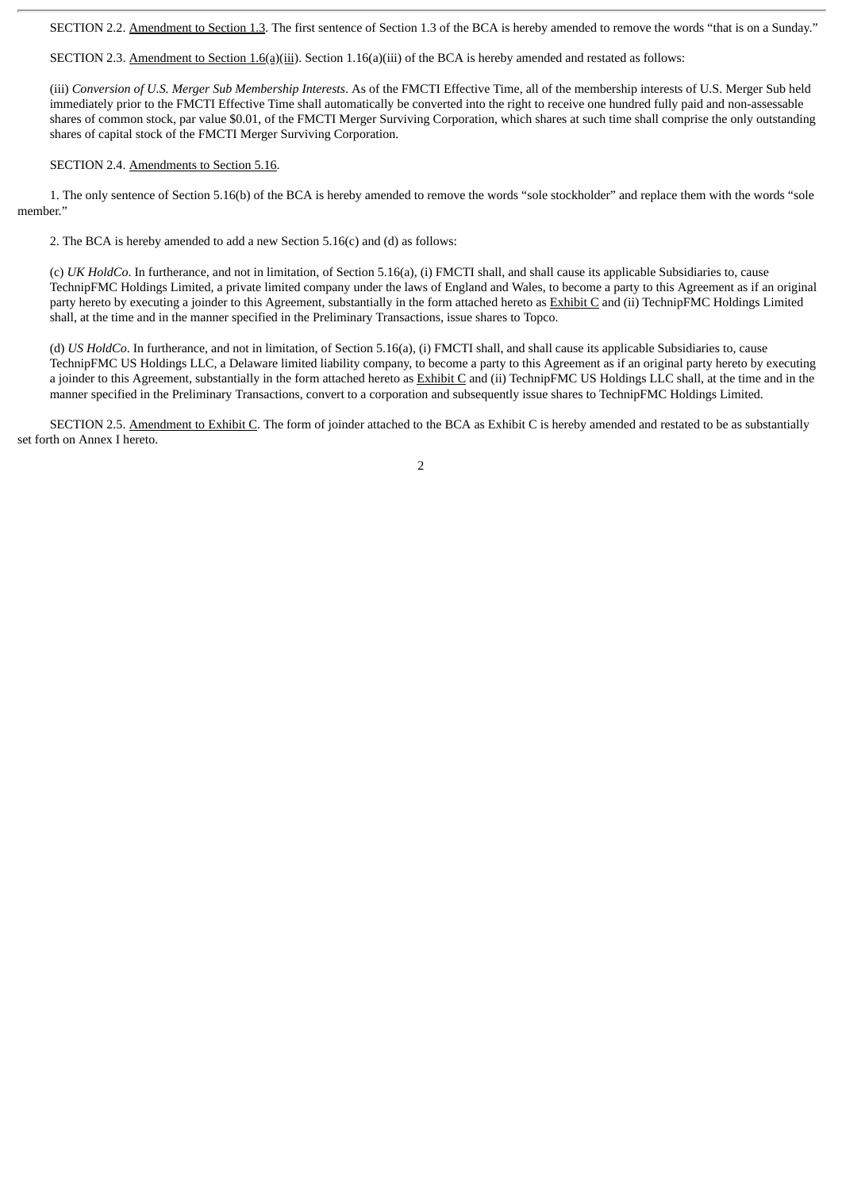SECTION 2.2. Amendment to Section 1.3. The first sentence of Section 1.3 of the BCA is hereby amended to remove the words "that is on a Sunday."

SECTION 2.3. Amendment to Section 1.6(a)(iii). Section 1.16(a)(iii) of the BCA is hereby amended and restated as follows:

(iii) *Conversion of U.S. Merger Sub Membership Interests*. As of the FMCTI Effective Time, all of the membership interests of U.S. Merger Sub held immediately prior to the FMCTI Effective Time shall automatically be converted into the right to receive one hundred fully paid and non-assessable shares of common stock, par value \$0.01, of the FMCTI Merger Surviving Corporation, which shares at such time shall comprise the only outstanding shares of capital stock of the FMCTI Merger Surviving Corporation.

### SECTION 2.4. Amendments to Section 5.16.

1. The only sentence of Section 5.16(b) of the BCA is hereby amended to remove the words "sole stockholder" and replace them with the words "sole member."

2. The BCA is hereby amended to add a new Section 5.16(c) and (d) as follows:

(c) *UK HoldCo*. In furtherance, and not in limitation, of Section 5.16(a), (i) FMCTI shall, and shall cause its applicable Subsidiaries to, cause TechnipFMC Holdings Limited, a private limited company under the laws of England and Wales, to become a party to this Agreement as if an original party hereto by executing a joinder to this Agreement, substantially in the form attached hereto as Exhibit C and (ii) TechnipFMC Holdings Limited shall, at the time and in the manner specified in the Preliminary Transactions, issue shares to Topco.

(d) *US HoldCo*. In furtherance, and not in limitation, of Section 5.16(a), (i) FMCTI shall, and shall cause its applicable Subsidiaries to, cause TechnipFMC US Holdings LLC, a Delaware limited liability company, to become a party to this Agreement as if an original party hereto by executing a joinder to this Agreement, substantially in the form attached hereto as Exhibit C and (ii) TechnipFMC US Holdings LLC shall, at the time and in the manner specified in the Preliminary Transactions, convert to a corporation and subsequently issue shares to TechnipFMC Holdings Limited.

SECTION 2.5. Amendment to Exhibit C. The form of joinder attached to the BCA as Exhibit C is hereby amended and restated to be as substantially set forth on Annex I hereto.

 $\overline{2}$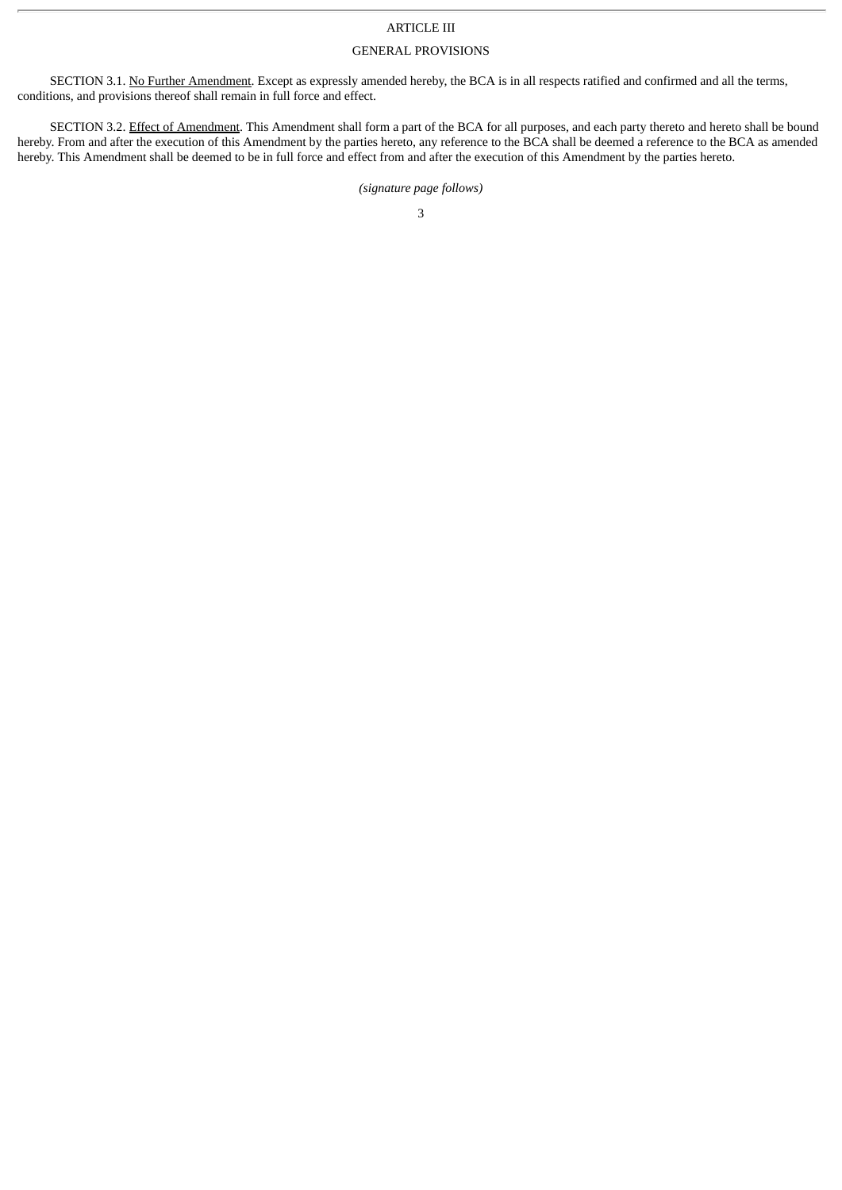### ARTICLE III

### GENERAL PROVISIONS

SECTION 3.1. No Further Amendment. Except as expressly amended hereby, the BCA is in all respects ratified and confirmed and all the terms, conditions, and provisions thereof shall remain in full force and effect.

SECTION 3.2. Effect of Amendment. This Amendment shall form a part of the BCA for all purposes, and each party thereto and hereto shall be bound hereby. From and after the execution of this Amendment by the parties hereto, any reference to the BCA shall be deemed a reference to the BCA as amended hereby. This Amendment shall be deemed to be in full force and effect from and after the execution of this Amendment by the parties hereto.

## *(signature page follows)*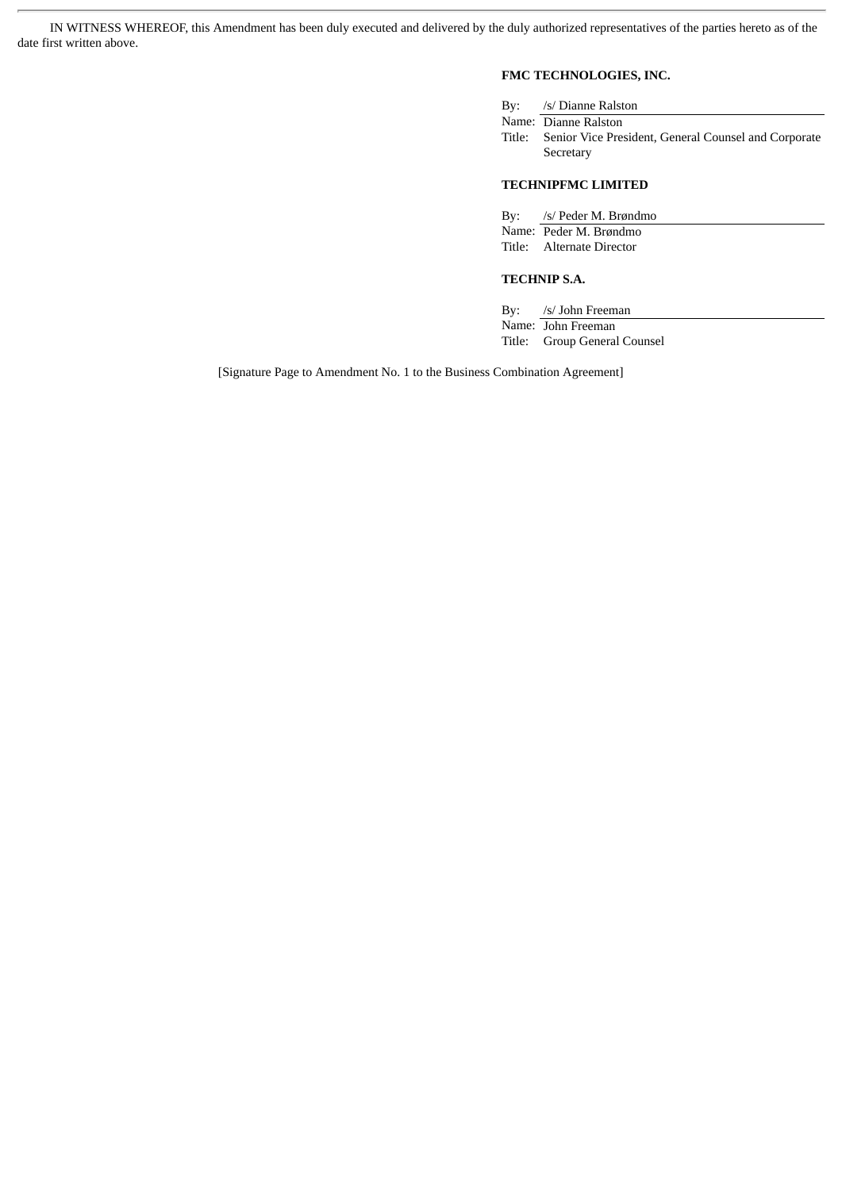IN WITNESS WHEREOF, this Amendment has been duly executed and delivered by the duly authorized representatives of the parties hereto as of the date first written above.

# **FMC TECHNOLOGIES, INC.**

| By: /s/ Dianne Ralston                                      |
|-------------------------------------------------------------|
| Name: Dianne Ralston                                        |
| Title: Senior Vice President, General Counsel and Corporate |
| Secretary                                                   |

# **TECHNIPFMC LIMITED**

| By: /s/ Peder M. Brøndmo  |  |
|---------------------------|--|
| Name: Peder M. Brøndmo    |  |
| Title: Alternate Director |  |
|                           |  |

# **TECHNIP S.A.**

By: /s/ John Freeman Name: John Freeman Title: Group General Counsel

[Signature Page to Amendment No. 1 to the Business Combination Agreement]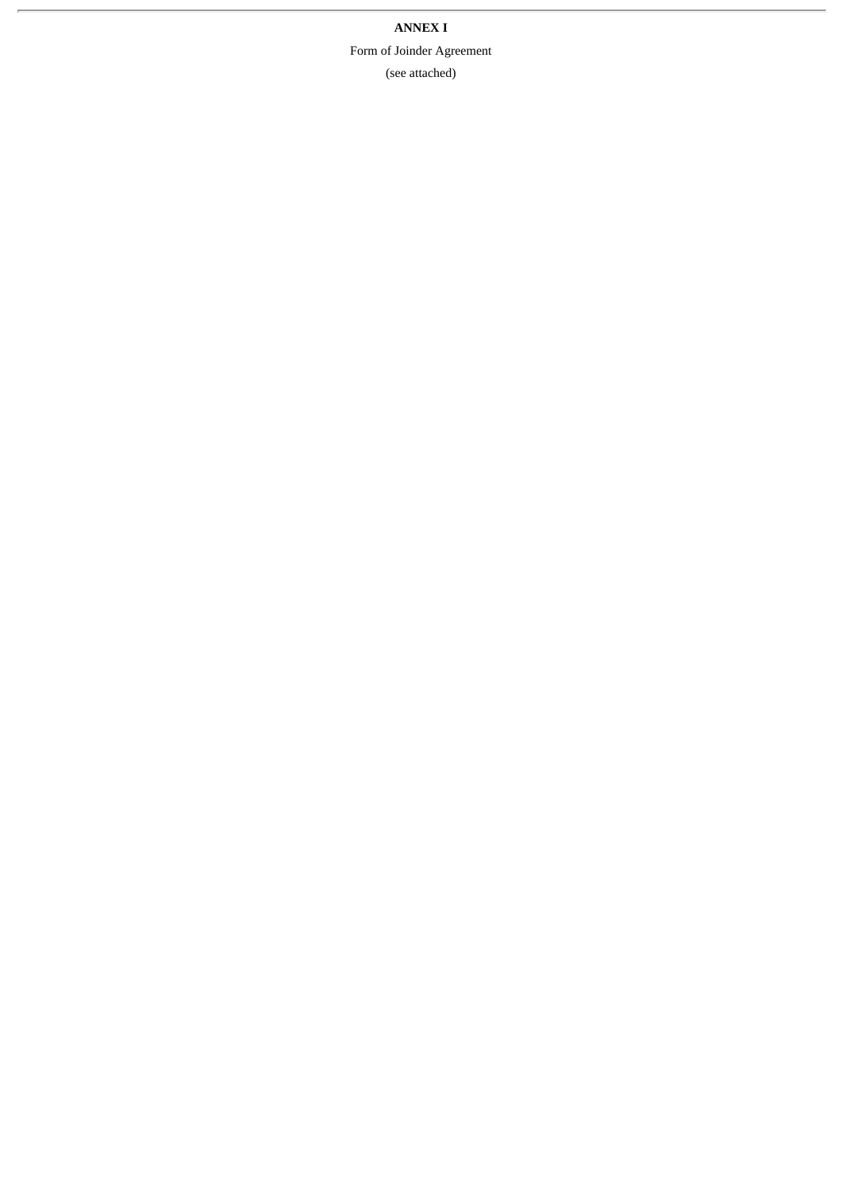**ANNEX I** Form of Joinder Agreement (see attached)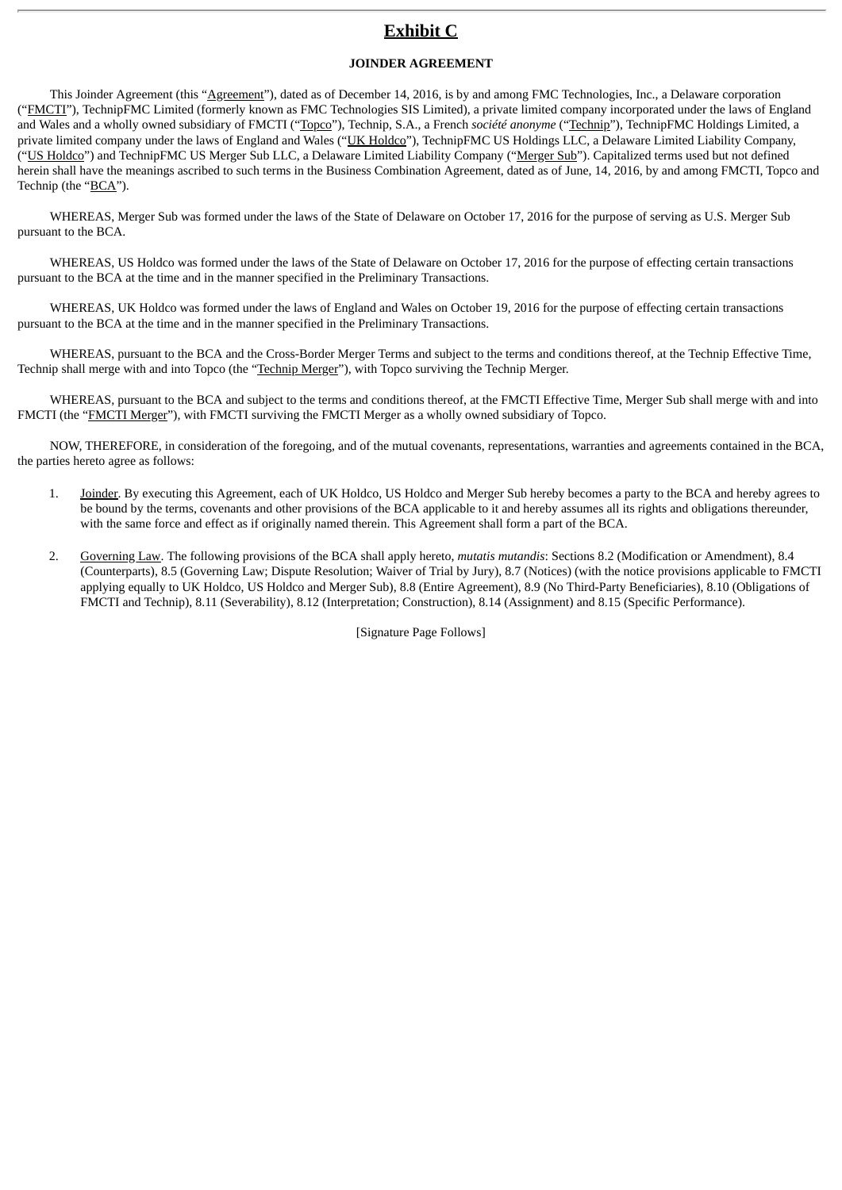# **Exhibit C**

### **JOINDER AGREEMENT**

This Joinder Agreement (this "Agreement"), dated as of December 14, 2016, is by and among FMC Technologies, Inc., a Delaware corporation ("FMCTI"), TechnipFMC Limited (formerly known as FMC Technologies SIS Limited), a private limited company incorporated under the laws of England and Wales and a wholly owned subsidiary of FMCTI ("Topco"), Technip, S.A., a French *société anonyme* ("Technip"), TechnipFMC Holdings Limited, a private limited company under the laws of England and Wales ("UK Holdco"), TechnipFMC US Holdings LLC, a Delaware Limited Liability Company, ("US Holdco") and TechnipFMC US Merger Sub LLC, a Delaware Limited Liability Company ("Merger Sub"). Capitalized terms used but not defined herein shall have the meanings ascribed to such terms in the Business Combination Agreement, dated as of June, 14, 2016, by and among FMCTI, Topco and Technip (the "BCA").

WHEREAS, Merger Sub was formed under the laws of the State of Delaware on October 17, 2016 for the purpose of serving as U.S. Merger Sub pursuant to the BCA.

WHEREAS, US Holdco was formed under the laws of the State of Delaware on October 17, 2016 for the purpose of effecting certain transactions pursuant to the BCA at the time and in the manner specified in the Preliminary Transactions.

WHEREAS, UK Holdco was formed under the laws of England and Wales on October 19, 2016 for the purpose of effecting certain transactions pursuant to the BCA at the time and in the manner specified in the Preliminary Transactions.

WHEREAS, pursuant to the BCA and the Cross-Border Merger Terms and subject to the terms and conditions thereof, at the Technip Effective Time, Technip shall merge with and into Topco (the "Technip Merger"), with Topco surviving the Technip Merger.

WHEREAS, pursuant to the BCA and subject to the terms and conditions thereof, at the FMCTI Effective Time, Merger Sub shall merge with and into FMCTI (the "FMCTI Merger"), with FMCTI surviving the FMCTI Merger as a wholly owned subsidiary of Topco.

NOW, THEREFORE, in consideration of the foregoing, and of the mutual covenants, representations, warranties and agreements contained in the BCA, the parties hereto agree as follows:

- 1. Joinder. By executing this Agreement, each of UK Holdco, US Holdco and Merger Sub hereby becomes a party to the BCA and hereby agrees to be bound by the terms, covenants and other provisions of the BCA applicable to it and hereby assumes all its rights and obligations thereunder, with the same force and effect as if originally named therein. This Agreement shall form a part of the BCA.
- 2. Governing Law. The following provisions of the BCA shall apply hereto, *mutatis mutandis*: Sections 8.2 (Modification or Amendment), 8.4 (Counterparts), 8.5 (Governing Law; Dispute Resolution; Waiver of Trial by Jury), 8.7 (Notices) (with the notice provisions applicable to FMCTI applying equally to UK Holdco, US Holdco and Merger Sub), 8.8 (Entire Agreement), 8.9 (No Third-Party Beneficiaries), 8.10 (Obligations of FMCTI and Technip), 8.11 (Severability), 8.12 (Interpretation; Construction), 8.14 (Assignment) and 8.15 (Specific Performance).

[Signature Page Follows]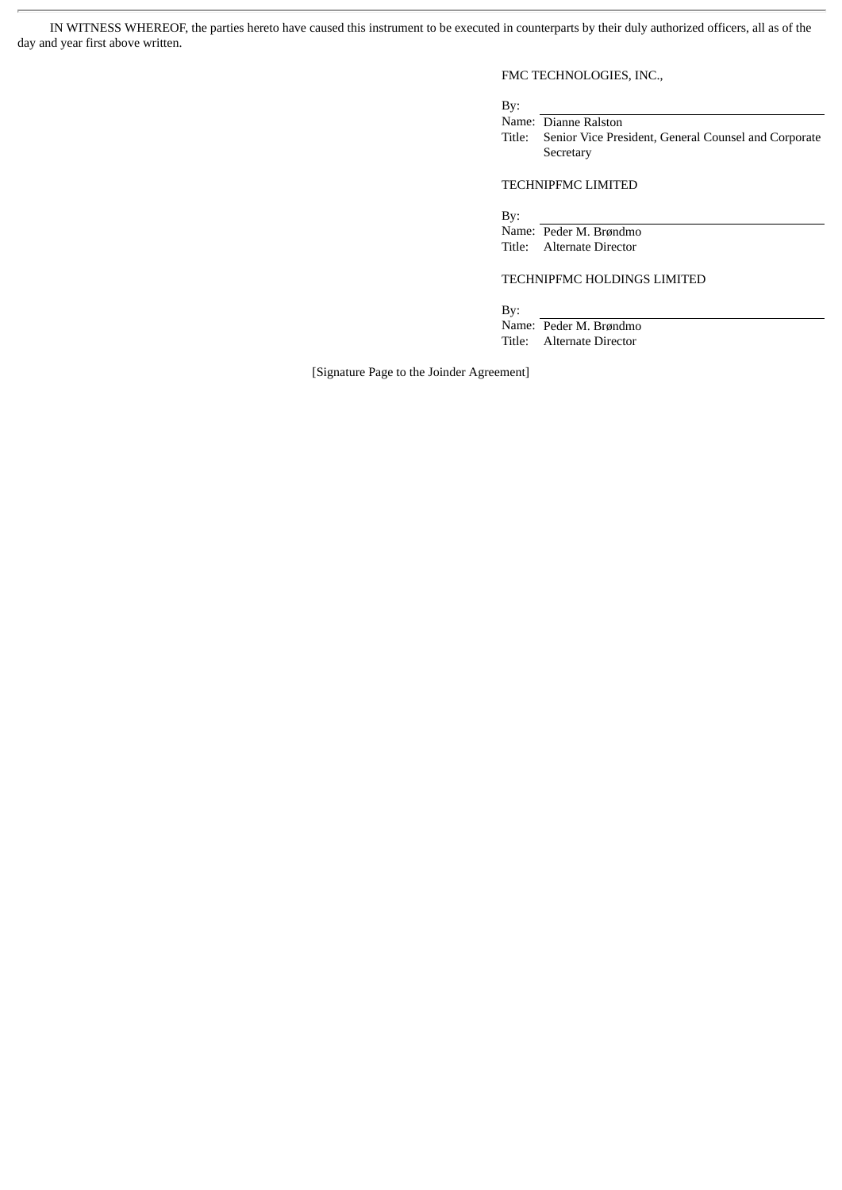IN WITNESS WHEREOF, the parties hereto have caused this instrument to be executed in counterparts by their duly authorized officers, all as of the day and year first above written.

# FMC TECHNOLOGIES, INC.,

By:

Name: Dianne Ralston Title: Senior Vice President, General Counsel and Corporate Secretary

### TECHNIPFMC LIMITED

By:

Name: Peder M. Brøndmo Title: Alternate Director

## TECHNIPFMC HOLDINGS LIMITED

By:

Name: Peder M. Brøndmo Title: Alternate Director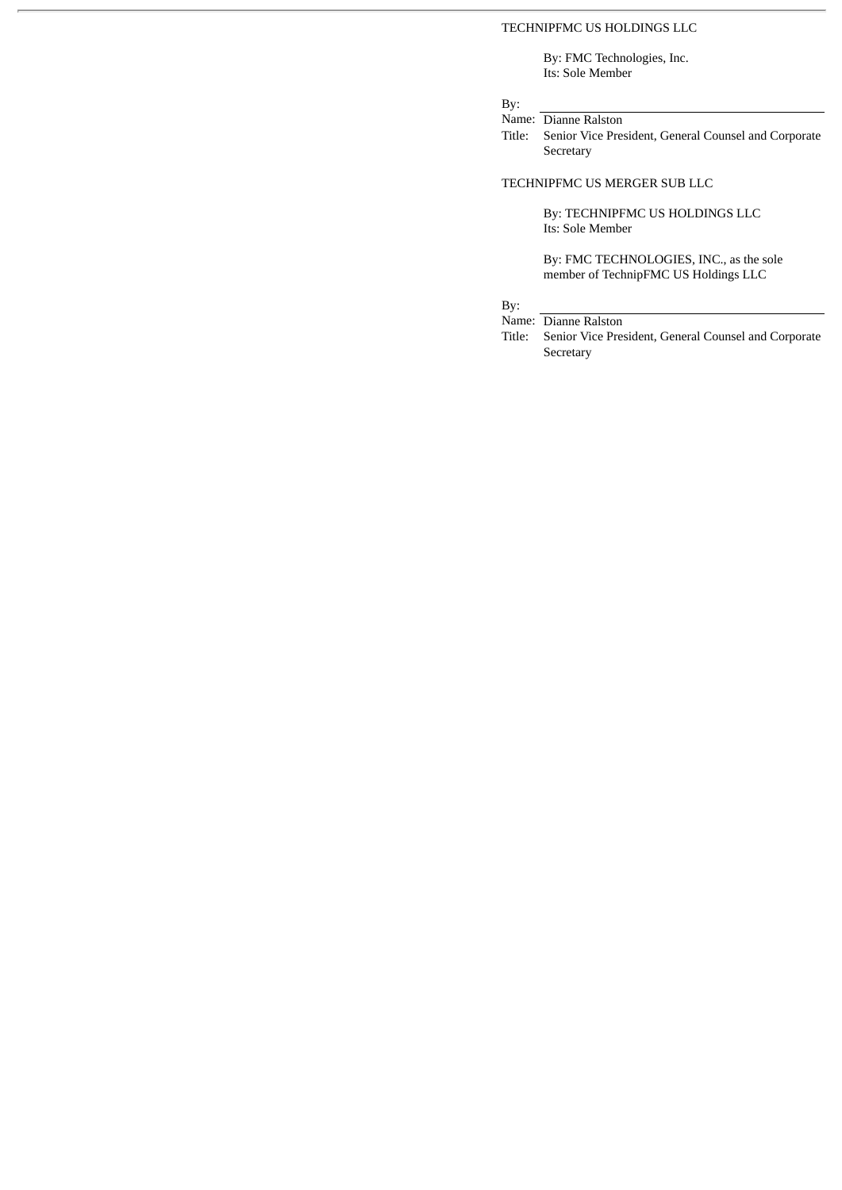### TECHNIPFMC US HOLDINGS LLC

By: FMC Technologies, Inc. Its: Sole Member

# By:

Name: Dianne Ralston

Title: Senior Vice President, General Counsel and Corporate **Secretary** 

### TECHNIPFMC US MERGER SUB LLC

By: TECHNIPFMC US HOLDINGS LLC Its: Sole Member

By: FMC TECHNOLOGIES, INC., as the sole member of TechnipFMC US Holdings LLC

# By:

Name: Dianne Ralston

Title: Senior Vice President, General Counsel and Corporate Secretary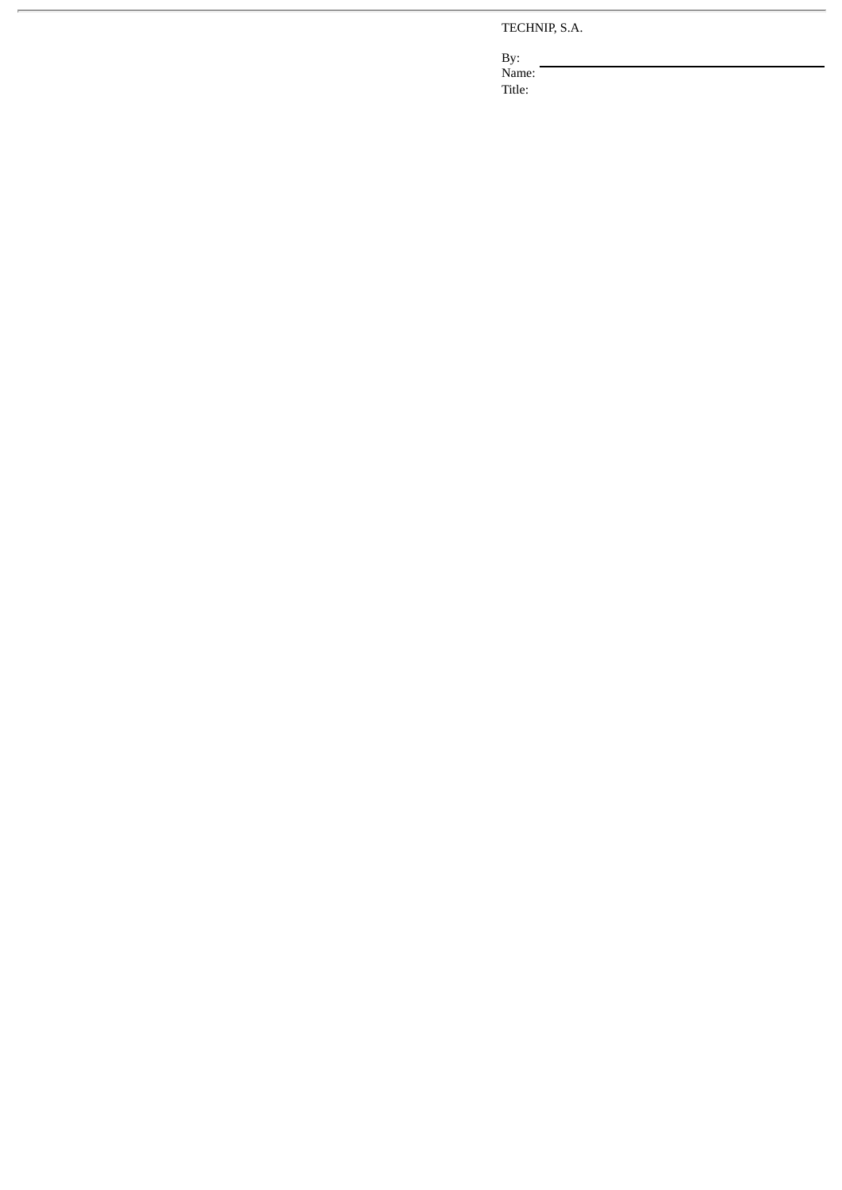TECHNIP, S.A.

By: Name: Title: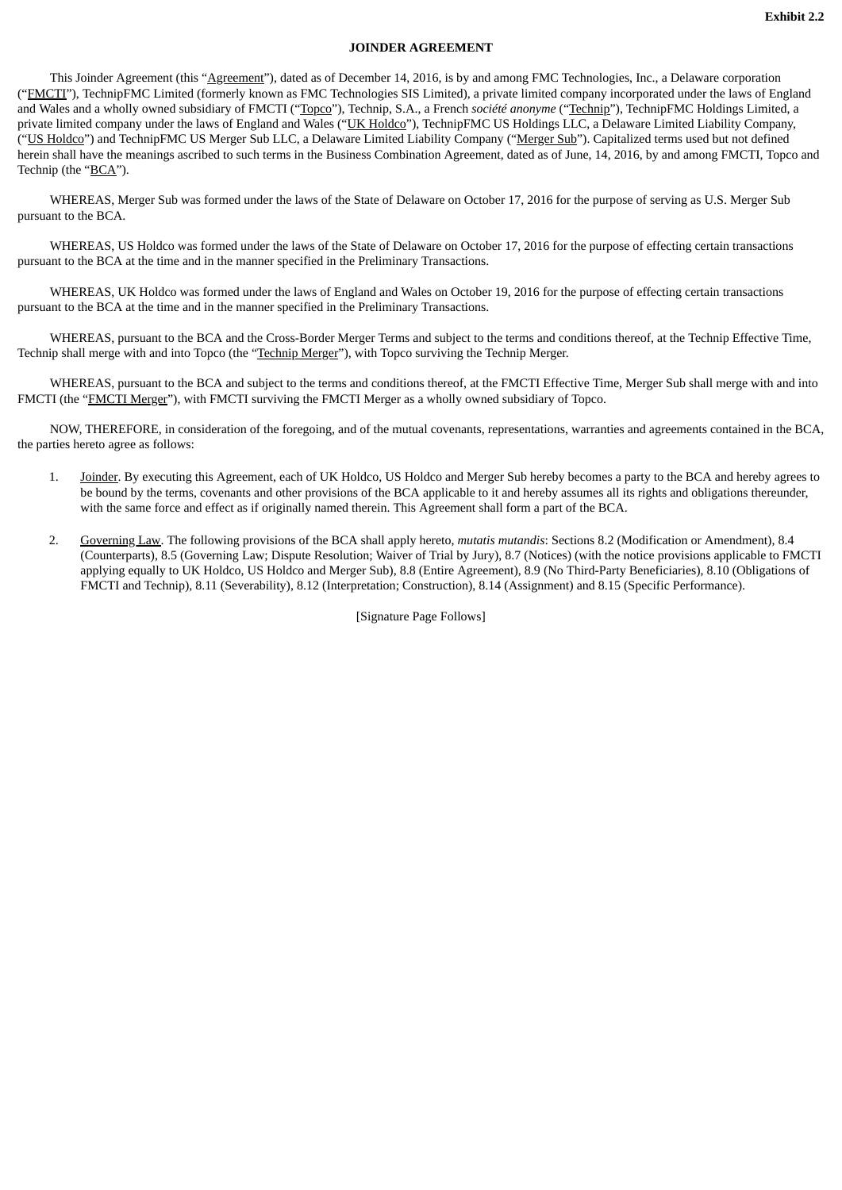### **JOINDER AGREEMENT**

This Joinder Agreement (this "Agreement"), dated as of December 14, 2016, is by and among FMC Technologies, Inc., a Delaware corporation ("FMCTI"), TechnipFMC Limited (formerly known as FMC Technologies SIS Limited), a private limited company incorporated under the laws of England and Wales and a wholly owned subsidiary of FMCTI ("Topco"), Technip, S.A., a French *société anonyme* ("Technip"), TechnipFMC Holdings Limited, a private limited company under the laws of England and Wales ("UK Holdco"), TechnipFMC US Holdings LLC, a Delaware Limited Liability Company, ("US Holdco") and TechnipFMC US Merger Sub LLC, a Delaware Limited Liability Company ("Merger Sub"). Capitalized terms used but not defined herein shall have the meanings ascribed to such terms in the Business Combination Agreement, dated as of June, 14, 2016, by and among FMCTI, Topco and Technip (the "BCA").

WHEREAS, Merger Sub was formed under the laws of the State of Delaware on October 17, 2016 for the purpose of serving as U.S. Merger Sub pursuant to the BCA.

WHEREAS, US Holdco was formed under the laws of the State of Delaware on October 17, 2016 for the purpose of effecting certain transactions pursuant to the BCA at the time and in the manner specified in the Preliminary Transactions.

WHEREAS, UK Holdco was formed under the laws of England and Wales on October 19, 2016 for the purpose of effecting certain transactions pursuant to the BCA at the time and in the manner specified in the Preliminary Transactions.

WHEREAS, pursuant to the BCA and the Cross-Border Merger Terms and subject to the terms and conditions thereof, at the Technip Effective Time, Technip shall merge with and into Topco (the "Technip Merger"), with Topco surviving the Technip Merger.

WHEREAS, pursuant to the BCA and subject to the terms and conditions thereof, at the FMCTI Effective Time, Merger Sub shall merge with and into FMCTI (the "FMCTI Merger"), with FMCTI surviving the FMCTI Merger as a wholly owned subsidiary of Topco.

NOW, THEREFORE, in consideration of the foregoing, and of the mutual covenants, representations, warranties and agreements contained in the BCA, the parties hereto agree as follows:

- 1. Joinder. By executing this Agreement, each of UK Holdco, US Holdco and Merger Sub hereby becomes a party to the BCA and hereby agrees to be bound by the terms, covenants and other provisions of the BCA applicable to it and hereby assumes all its rights and obligations thereunder, with the same force and effect as if originally named therein. This Agreement shall form a part of the BCA.
- 2. Governing Law. The following provisions of the BCA shall apply hereto, *mutatis mutandis*: Sections 8.2 (Modification or Amendment), 8.4 (Counterparts), 8.5 (Governing Law; Dispute Resolution; Waiver of Trial by Jury), 8.7 (Notices) (with the notice provisions applicable to FMCTI applying equally to UK Holdco, US Holdco and Merger Sub), 8.8 (Entire Agreement), 8.9 (No Third-Party Beneficiaries), 8.10 (Obligations of FMCTI and Technip), 8.11 (Severability), 8.12 (Interpretation; Construction), 8.14 (Assignment) and 8.15 (Specific Performance).

[Signature Page Follows]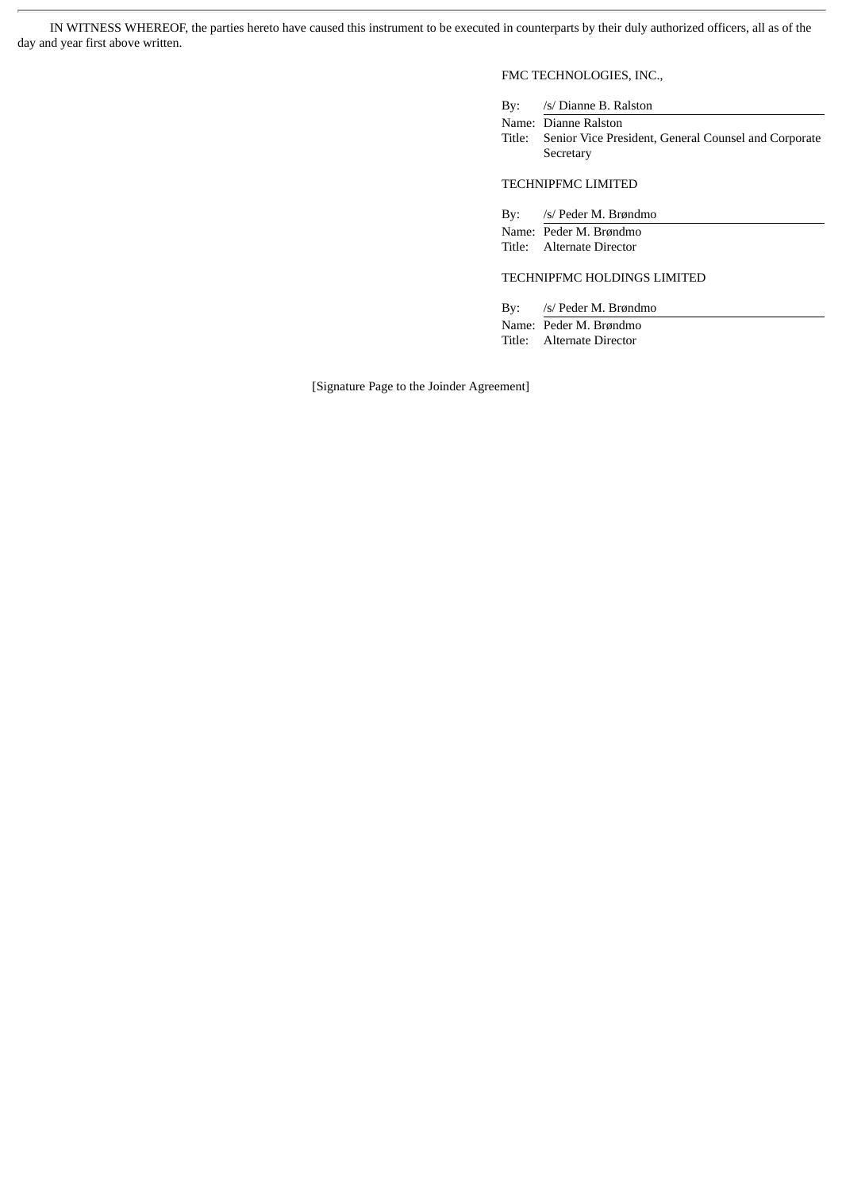IN WITNESS WHEREOF, the parties hereto have caused this instrument to be executed in counterparts by their duly authorized officers, all as of the day and year first above written.

# FMC TECHNOLOGIES, INC.,

By: /s/ Dianne B. Ralston

Name: Dianne Ralston Title: Senior Vice President, General Counsel and Corporate Secretary

TECHNIPFMC LIMITED

By: /s/ Peder M. Brøndmo Name: Peder M. Brøndmo Title: Alternate Director

### TECHNIPFMC HOLDINGS LIMITED

By: /s/ Peder M. Brøndmo Name: Peder M. Brøndmo Title: Alternate Director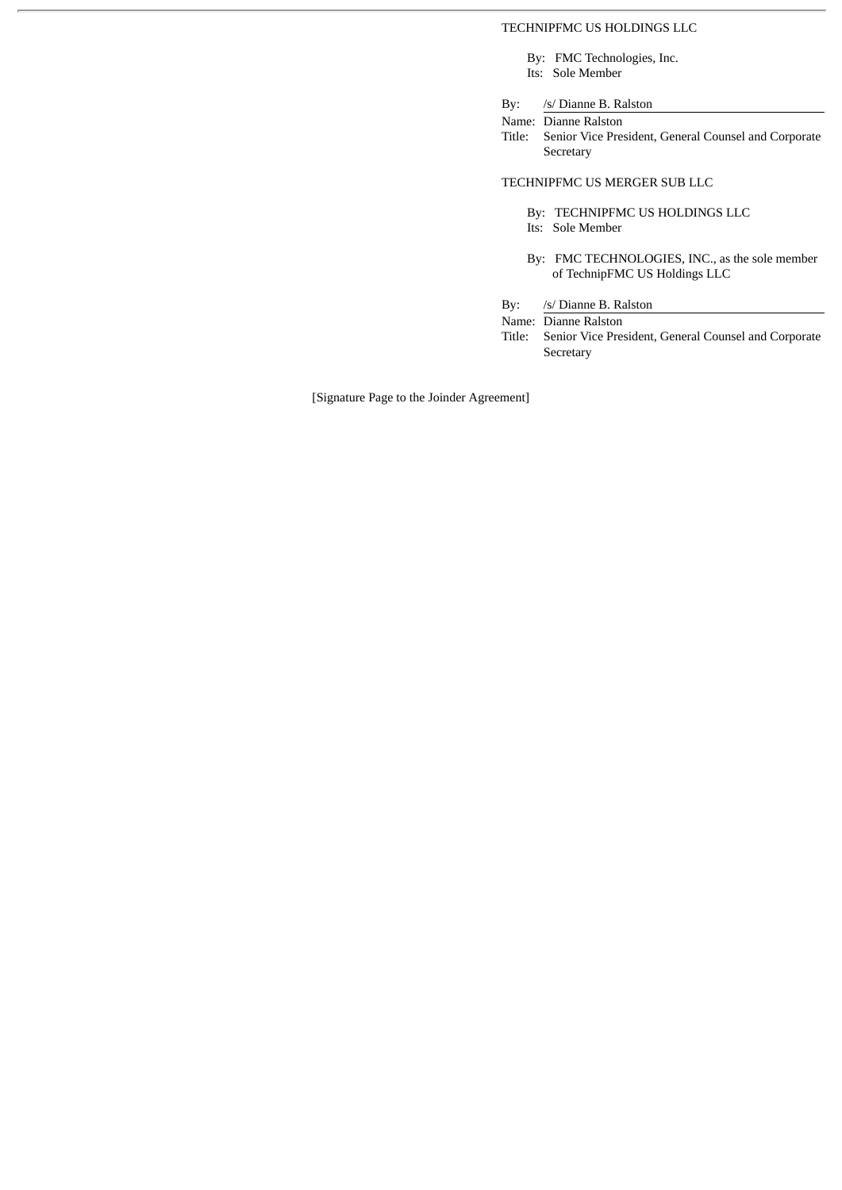### TECHNIPFMC US HOLDINGS LLC

By: FMC Technologies, Inc. Its: Sole Member

By: /s/ Dianne B. Ralston

Name: Dianne Ralston

Title: Senior Vice President, General Counsel and Corporate Secretary

### TECHNIPFMC US MERGER SUB LLC

- By: TECHNIPFMC US HOLDINGS LLC
- Its: Sole Member
- By: FMC TECHNOLOGIES, INC., as the sole member of TechnipFMC US Holdings LLC

By: /s/ Dianne B. Ralston

Name: Dianne Ralston

Title: Senior Vice President, General Counsel and Corporate Secretary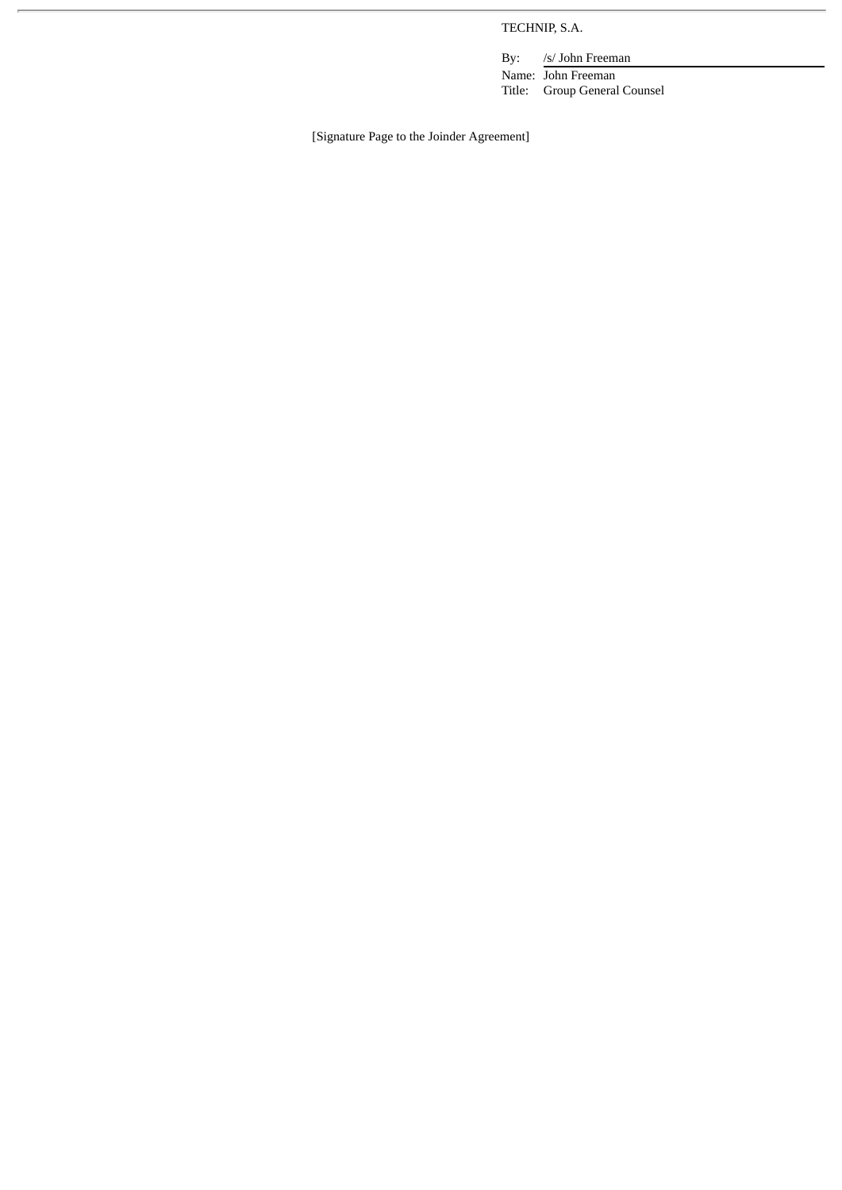TECHNIP, S.A.

By: /s/ John Freeman

Name: John Freeman Title: Group General Counsel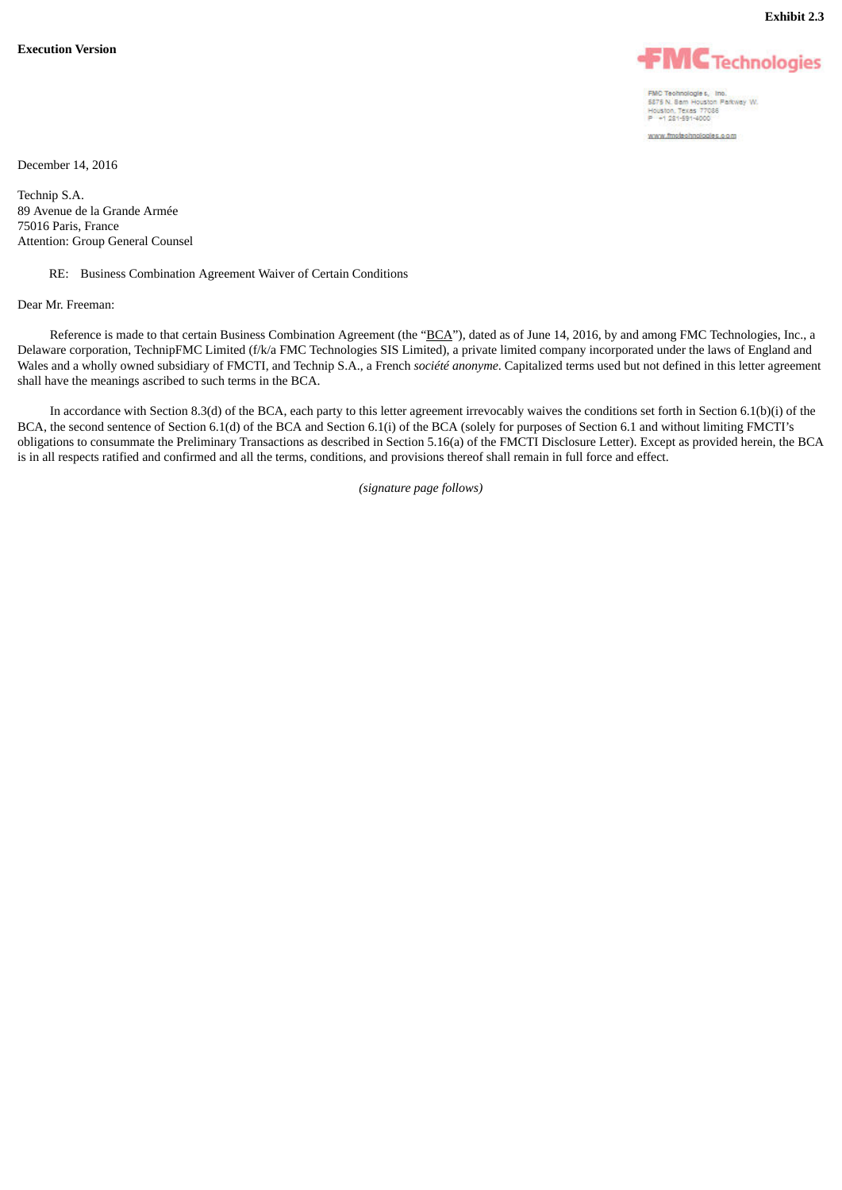



FMC Technologies, Inc.<br>5375 N. Sam Houston Parkway W.<br>Houston, Texas 77035<br>P +1 231-591-4000 www.fmstechnologies.com

December 14, 2016

Technip S.A. 89 Avenue de la Grande Armée 75016 Paris, France Attention: Group General Counsel

### RE: Business Combination Agreement Waiver of Certain Conditions

#### Dear Mr. Freeman:

Reference is made to that certain Business Combination Agreement (the "BCA"), dated as of June 14, 2016, by and among FMC Technologies, Inc., a Delaware corporation, TechnipFMC Limited (f/k/a FMC Technologies SIS Limited), a private limited company incorporated under the laws of England and Wales and a wholly owned subsidiary of FMCTI, and Technip S.A., a French *société anonyme*. Capitalized terms used but not defined in this letter agreement shall have the meanings ascribed to such terms in the BCA.

In accordance with Section 8.3(d) of the BCA, each party to this letter agreement irrevocably waives the conditions set forth in Section 6.1(b)(i) of the BCA, the second sentence of Section 6.1(d) of the BCA and Section 6.1(i) of the BCA (solely for purposes of Section 6.1 and without limiting FMCTI's obligations to consummate the Preliminary Transactions as described in Section 5.16(a) of the FMCTI Disclosure Letter). Except as provided herein, the BCA is in all respects ratified and confirmed and all the terms, conditions, and provisions thereof shall remain in full force and effect.

*(signature page follows)*